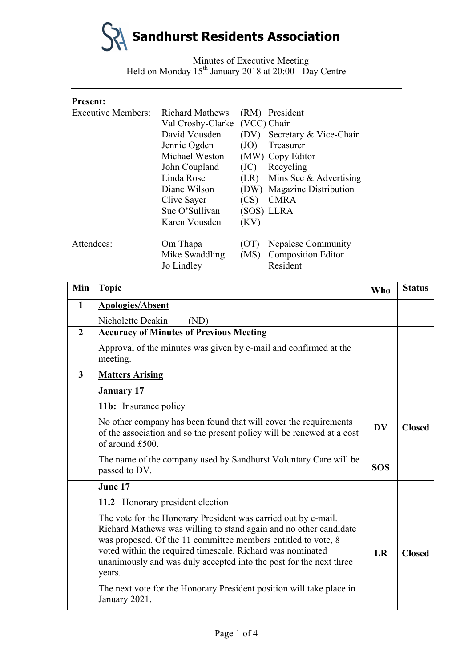

Minutes of Executive Meeting Held on Monday 15<sup>th</sup> January 2018 at 20:00 - Day Centre

| <b>Present:</b>           |                        |             |                               |
|---------------------------|------------------------|-------------|-------------------------------|
| <b>Executive Members:</b> | <b>Richard Mathews</b> |             | (RM) President                |
|                           | Val Crosby-Clarke      | (VCC) Chair |                               |
|                           | David Vousden          |             | (DV) Secretary & Vice-Chair   |
|                           | Jennie Ogden           | (JO)        | Treasurer                     |
|                           | Michael Weston         |             | (MW) Copy Editor              |
|                           | John Coupland          | (JC)        | Recycling                     |
|                           | Linda Rose             |             | $(LR)$ Mins Sec & Advertising |
|                           | Diane Wilson           |             | (DW) Magazine Distribution    |
|                           | Clive Sayer            | (CS)        | <b>CMRA</b>                   |
|                           | Sue O'Sullivan         |             | (SOS) LLRA                    |
|                           | Karen Vousden          | (KV)        |                               |
| Attendees:                | Om Thapa               | (OT)        | Nepalese Community            |
|                           | Mike Swaddling         | (MS)        | <b>Composition Editor</b>     |
|                           | Jo Lindley             |             | Resident                      |

| Min            | <b>Topic</b>                                                                                                                                                                                                                                                                                                                                       | <b>Who</b> | <b>Status</b> |
|----------------|----------------------------------------------------------------------------------------------------------------------------------------------------------------------------------------------------------------------------------------------------------------------------------------------------------------------------------------------------|------------|---------------|
| $\mathbf{1}$   | <b>Apologies/Absent</b>                                                                                                                                                                                                                                                                                                                            |            |               |
|                | Nicholette Deakin<br>(ND)                                                                                                                                                                                                                                                                                                                          |            |               |
| $\overline{2}$ | <b>Accuracy of Minutes of Previous Meeting</b>                                                                                                                                                                                                                                                                                                     |            |               |
|                | Approval of the minutes was given by e-mail and confirmed at the<br>meeting.                                                                                                                                                                                                                                                                       |            |               |
| 3              | <b>Matters Arising</b>                                                                                                                                                                                                                                                                                                                             |            |               |
|                | <b>January 17</b>                                                                                                                                                                                                                                                                                                                                  |            |               |
|                | 11b: Insurance policy                                                                                                                                                                                                                                                                                                                              |            |               |
|                | No other company has been found that will cover the requirements<br>of the association and so the present policy will be renewed at a cost<br>of around £500.                                                                                                                                                                                      | <b>DV</b>  | <b>Closed</b> |
|                | The name of the company used by Sandhurst Voluntary Care will be<br>passed to DV.                                                                                                                                                                                                                                                                  | <b>SOS</b> |               |
|                | June 17                                                                                                                                                                                                                                                                                                                                            |            |               |
|                | 11.2 Honorary president election                                                                                                                                                                                                                                                                                                                   |            |               |
|                | The vote for the Honorary President was carried out by e-mail.<br>Richard Mathews was willing to stand again and no other candidate<br>was proposed. Of the 11 committee members entitled to vote, 8<br>voted within the required timescale. Richard was nominated<br>unanimously and was duly accepted into the post for the next three<br>years. | LR         | <b>Closed</b> |
|                | The next vote for the Honorary President position will take place in<br>January 2021.                                                                                                                                                                                                                                                              |            |               |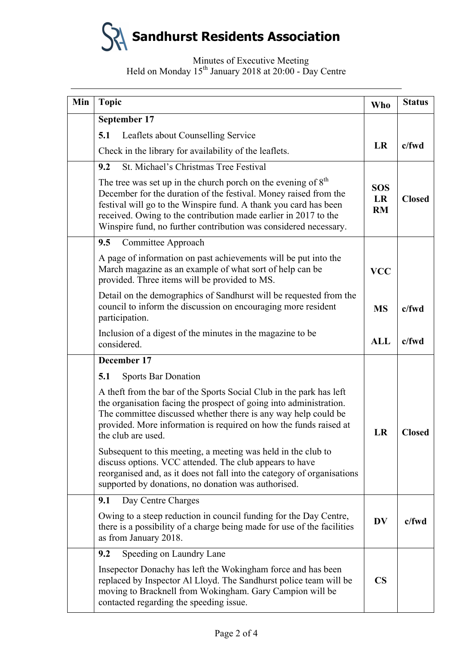# **Sandhurst Residents Association**

## Minutes of Executive Meeting Held on Monday 15<sup>th</sup> January 2018 at 20:00 - Day Centre

| Min | <b>Topic</b>                                                                                                                                                                                                                                                                                                                                   | <b>Who</b>                    | <b>Status</b> |
|-----|------------------------------------------------------------------------------------------------------------------------------------------------------------------------------------------------------------------------------------------------------------------------------------------------------------------------------------------------|-------------------------------|---------------|
|     | September 17                                                                                                                                                                                                                                                                                                                                   |                               |               |
|     | 5.1<br>Leaflets about Counselling Service                                                                                                                                                                                                                                                                                                      |                               |               |
|     | Check in the library for availability of the leaflets.                                                                                                                                                                                                                                                                                         | <b>LR</b>                     | $c$ /fwd      |
|     | St. Michael's Christmas Tree Festival<br>9.2                                                                                                                                                                                                                                                                                                   |                               |               |
|     | The tree was set up in the church porch on the evening of $8th$<br>December for the duration of the festival. Money raised from the<br>festival will go to the Winspire fund. A thank you card has been<br>received. Owing to the contribution made earlier in 2017 to the<br>Winspire fund, no further contribution was considered necessary. | <b>SOS</b><br>LR<br><b>RM</b> | <b>Closed</b> |
|     | 9.5<br>Committee Approach                                                                                                                                                                                                                                                                                                                      |                               |               |
|     | A page of information on past achievements will be put into the<br>March magazine as an example of what sort of help can be<br>provided. Three items will be provided to MS.                                                                                                                                                                   | <b>VCC</b>                    |               |
|     | Detail on the demographics of Sandhurst will be requested from the<br>council to inform the discussion on encouraging more resident<br>participation.                                                                                                                                                                                          | <b>MS</b>                     | $c$ /fwd      |
|     | Inclusion of a digest of the minutes in the magazine to be<br>considered.                                                                                                                                                                                                                                                                      | <b>ALL</b>                    | $c$ /fwd      |
|     | December 17                                                                                                                                                                                                                                                                                                                                    |                               |               |
|     | <b>Sports Bar Donation</b><br>5.1                                                                                                                                                                                                                                                                                                              |                               |               |
|     | A theft from the bar of the Sports Social Club in the park has left<br>the organisation facing the prospect of going into administration.<br>The committee discussed whether there is any way help could be<br>provided. More information is required on how the funds raised at<br>the club are used.                                         | LR                            | <b>Closed</b> |
|     | Subsequent to this meeting, a meeting was held in the club to<br>discuss options. VCC attended. The club appears to have<br>reorganised and, as it does not fall into the category of organisations<br>supported by donations, no donation was authorised.                                                                                     |                               |               |
|     | Day Centre Charges<br>9.1                                                                                                                                                                                                                                                                                                                      |                               |               |
|     | Owing to a steep reduction in council funding for the Day Centre,<br>there is a possibility of a charge being made for use of the facilities<br>as from January 2018.                                                                                                                                                                          | <b>DV</b>                     | $c$ /fwd      |
|     | Speeding on Laundry Lane<br>9.2                                                                                                                                                                                                                                                                                                                |                               |               |
|     | Insepector Donachy has left the Wokingham force and has been<br>replaced by Inspector Al Lloyd. The Sandhurst police team will be<br>moving to Bracknell from Wokingham. Gary Campion will be<br>contacted regarding the speeding issue.                                                                                                       | $\overline{\text{CS}}$        |               |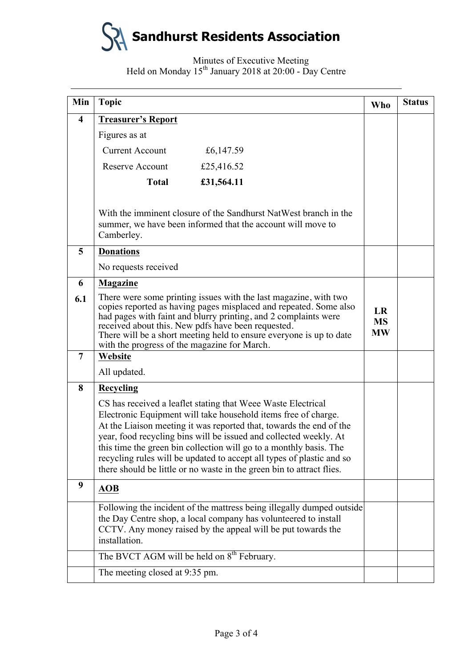

## Minutes of Executive Meeting Held on Monday 15<sup>th</sup> January 2018 at 20:00 - Day Centre

| Min                     | <b>Topic</b>                                                                                                                                                                                                                                                                                                                                                                                                                                                                                       | <b>Who</b> | <b>Status</b> |
|-------------------------|----------------------------------------------------------------------------------------------------------------------------------------------------------------------------------------------------------------------------------------------------------------------------------------------------------------------------------------------------------------------------------------------------------------------------------------------------------------------------------------------------|------------|---------------|
| $\overline{\mathbf{4}}$ | <b>Treasurer's Report</b>                                                                                                                                                                                                                                                                                                                                                                                                                                                                          |            |               |
|                         | Figures as at                                                                                                                                                                                                                                                                                                                                                                                                                                                                                      |            |               |
|                         | <b>Current Account</b><br>£6,147.59                                                                                                                                                                                                                                                                                                                                                                                                                                                                |            |               |
|                         | <b>Reserve Account</b><br>£25,416.52                                                                                                                                                                                                                                                                                                                                                                                                                                                               |            |               |
|                         | £31,564.11<br><b>Total</b>                                                                                                                                                                                                                                                                                                                                                                                                                                                                         |            |               |
|                         | With the imminent closure of the Sandhurst NatWest branch in the<br>summer, we have been informed that the account will move to<br>Camberley.                                                                                                                                                                                                                                                                                                                                                      |            |               |
| 5                       | <b>Donations</b>                                                                                                                                                                                                                                                                                                                                                                                                                                                                                   |            |               |
|                         | No requests received                                                                                                                                                                                                                                                                                                                                                                                                                                                                               |            |               |
| 6                       | Magazine                                                                                                                                                                                                                                                                                                                                                                                                                                                                                           |            |               |
| 6.1                     | There were some printing issues with the last magazine, with two<br>copies reported as having pages misplaced and repeated. Some also<br>had pages with faint and blurry printing, and 2 complaints were<br>received about this. New pdfs have been requested.<br>There will be a short meeting held to ensure everyone is up to date<br>with the progress of the magazine for March.                                                                                                              |            |               |
| $\overline{7}$          | Website                                                                                                                                                                                                                                                                                                                                                                                                                                                                                            |            |               |
|                         | All updated.                                                                                                                                                                                                                                                                                                                                                                                                                                                                                       |            |               |
| 8                       | Recycling                                                                                                                                                                                                                                                                                                                                                                                                                                                                                          |            |               |
|                         | CS has received a leaflet stating that Weee Waste Electrical<br>Electronic Equipment will take household items free of charge.<br>At the Liaison meeting it was reported that, towards the end of the<br>year, food recycling bins will be issued and collected weekly. At<br>this time the green bin collection will go to a monthly basis. The<br>recycling rules will be updated to accept all types of plastic and so<br>there should be little or no waste in the green bin to attract flies. |            |               |
| 9                       | <b>AOB</b>                                                                                                                                                                                                                                                                                                                                                                                                                                                                                         |            |               |
|                         | Following the incident of the mattress being illegally dumped outside<br>the Day Centre shop, a local company has volunteered to install<br>CCTV. Any money raised by the appeal will be put towards the<br>installation.                                                                                                                                                                                                                                                                          |            |               |
|                         | The BVCT AGM will be held on 8 <sup>th</sup> February.                                                                                                                                                                                                                                                                                                                                                                                                                                             |            |               |
|                         | The meeting closed at 9:35 pm.                                                                                                                                                                                                                                                                                                                                                                                                                                                                     |            |               |